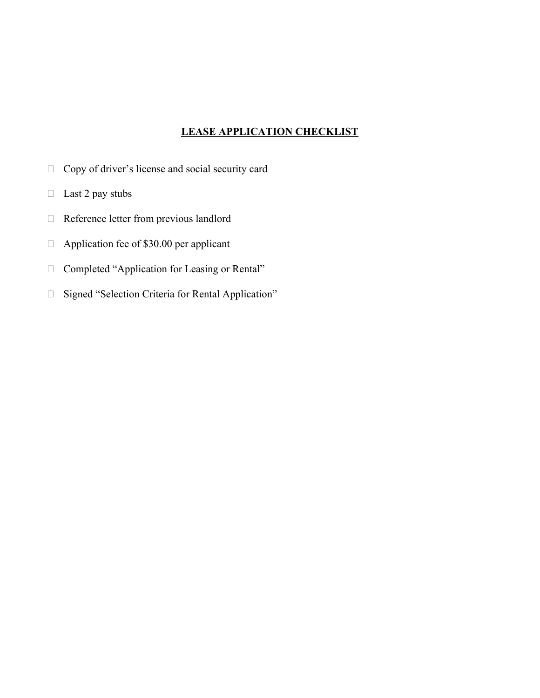## **LEASE APPLICATION CHECKLIST**

- □ Copy of driver's license and social security card
- $\Box$  Last 2 pay stubs
- Reference letter from previous landlord
- $\Box$  Application fee of \$30.00 per applicant
- □ Completed "Application for Leasing or Rental"
- □ Signed "Selection Criteria for Rental Application"